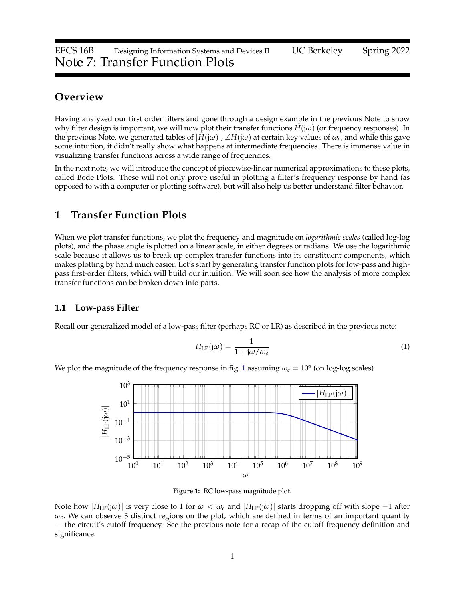# **Overview**

Having analyzed our first order filters and gone through a design example in the previous Note to show why filter design is important, we will now plot their transfer functions *H*(j*ω*) (or frequency responses). In the previous Note, we generated tables of  $|H(j\omega)|$ ,  $\angle H(j\omega)$  at certain key values of  $\omega_c$ , and while this gave some intuition, it didn't really show what happens at intermediate frequencies. There is immense value in visualizing transfer functions across a wide range of frequencies.

In the next note, we will introduce the concept of piecewise-linear numerical approximations to these plots, called Bode Plots. These will not only prove useful in plotting a filter's frequency response by hand (as opposed to with a computer or plotting software), but will also help us better understand filter behavior.

# **1 Transfer Function Plots**

When we plot transfer functions, we plot the frequency and magnitude on *logarithmic scales* (called log-log plots), and the phase angle is plotted on a linear scale, in either degrees or radians. We use the logarithmic scale because it allows us to break up complex transfer functions into its constituent components, which makes plotting by hand much easier. Let's start by generating transfer function plots for low-pass and highpass first-order filters, which will build our intuition. We will soon see how the analysis of more complex transfer functions can be broken down into parts.

### **1.1 Low-pass Filter**

Recall our generalized model of a low-pass filter (perhaps RC or LR) as described in the previous note:

$$
H_{\mathrm{LP}}(j\omega) = \frac{1}{1 + j\omega/\omega_c} \tag{1}
$$

<span id="page-0-0"></span>We plot the magnitude of the frequency response in fig. [1](#page-0-0) assuming  $\omega_c=10^6$  (on log-log scales).



**Figure 1:** RC low-pass magnitude plot.

Note how  $|H_{LP}(j\omega)|$  is very close to 1 for  $\omega < \omega_c$  and  $|H_{LP}(j\omega)|$  starts dropping off with slope  $-1$  after  $\omega_c$ . We can observe 3 distinct regions on the plot, which are defined in terms of an important quantity — the circuit's cutoff frequency. See the previous note for a recap of the cutoff frequency definition and significance.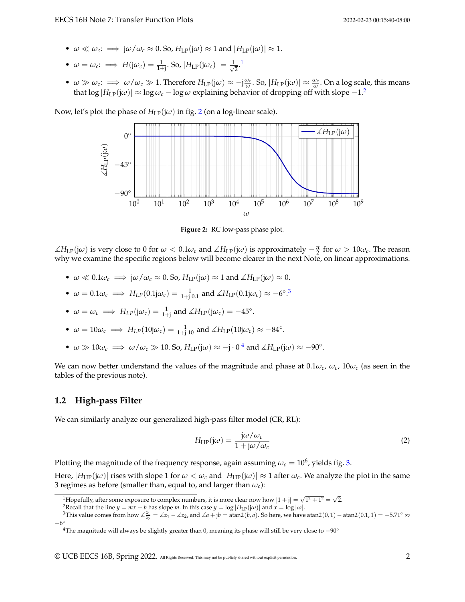- $\omega \ll \omega_c$ :  $\implies j\omega/\omega_c \approx 0$ . So,  $H_{LP}(j\omega) \approx 1$  and  $|H_{LP}(j\omega)| \approx 1$ .
- $\omega = \omega_c$ :  $\implies H(j\omega_c) = \frac{1}{1+j}$ . So,  $|H_{LP}(j\omega_c)| = \frac{1}{\sqrt{2}}$  $\overline{2}$ .<sup>[1](#page-1-0)</sup>
- $\bullet$  *ω*  $\gg$  *ω*<sub>*c*</sub>:  $\Longrightarrow$  *ω*/*ω<sub>c</sub>*  $\gg$  1. Therefore *H*<sub>LP</sub>(j*ω*)  $\approx$  −j<sup><u>ω<sub>*c*</sub></mark></sub>. So, |*H*<sub>LP</sub>(j*ω*)|  $\approx$   $\frac{\omega_c}{\omega}$ . On a log scale, this means</sup></u> that  $\log |H_{LP}(j\omega)| \approx \log \omega_c - \log \omega$  explaining behavior of dropping off with slope  $-1$ <sup>[2](#page-1-1)</sup>

<span id="page-1-2"></span>Now, let's plot the phase of  $H_{LP}(j\omega)$  in fig. [2](#page-1-2) (on a log-linear scale).



**Figure 2:** RC low-pass phase plot.

 $\angle H_{LP}(jω)$  is very close to 0 for  $ω < 0.1ω_c$  and  $\angle H_{LP}(jω)$  is approximately  $-\frac{π}{2}$  for  $ω > 10ω_c$ . The reason why we examine the specific regions below will become clearer in the next Note, on linear approximations.

- $\omega \ll 0.1 \omega_c \implies j\omega/\omega_c \approx 0.5$ o,  $H_{LP}(j\omega) \approx 1$  and  $\angle H_{LP}(j\omega) \approx 0$ .
- $\omega = 0.1 \omega_c \implies H_{LP}(0.1j\omega_c) = \frac{1}{1+j \cdot 0.1}$  and  $\angle H_{LP}(0.1j\omega_c) \approx -6^\circ$ .<sup>[3](#page-1-3)</sup>
- $\omega = \omega_c \implies H_{LP}(j\omega_c) = \frac{1}{1+j}$  and  $\angle H_{LP}(j\omega_c) = -45^\circ$ .
- $\omega = 10\omega_c \implies H_{LP}(10j\omega_c) = \frac{1}{1+j\ 10}$  and  $\angle H_{LP}(10j\omega_c) \approx -84^\circ$ .
- $\omega \gg 10\omega_c \implies \omega/\omega_c \gg 10$ . So,  $H_{LP}(j\omega) \approx -j \cdot 0^4$  $H_{LP}(j\omega) \approx -j \cdot 0^4$  and  $\angle H_{LP}(j\omega) \approx -90^\circ$ .

We can now better understand the values of the magnitude and phase at  $0.1\omega_c$ ,  $\omega_c$ ,  $10\omega_c$  (as seen in the tables of the previous note).

## **1.2 High-pass Filter**

We can similarly analyze our generalized high-pass filter model (CR, RL):

$$
H_{\rm HP}(j\omega) = \frac{j\omega/\omega_c}{1 + j\omega/\omega_c}
$$
 (2)

Plotting the magnitude of the frequency response, again assuming  $\omega_c = 10^6$ , yields fig. [3.](#page-2-0)

Here,  $|H_{HP}(j\omega)|$  rises with slope 1 for  $\omega < \omega_c$  and  $|H_{HP}(j\omega)| \approx 1$  after  $\omega_c$ . We analyze the plot in the same 3 regimes as before (smaller than, equal to, and larger than *ωc*):

<span id="page-1-0"></span><sup>&</sup>lt;sup>1</sup>Hopefully, after some exposure to complex numbers, it is more clear now how  $|1 + j| = \sqrt{1^2 + 1^2} = \sqrt{2}$ .

<span id="page-1-3"></span><span id="page-1-1"></span><sup>&</sup>lt;sup>2</sup>Recall that the line  $y = mx + b$  has slope *m*. In this case  $y = \log |H_{LP}(j\omega)|$  and  $x = \log |\omega|$ .

<sup>&</sup>lt;sup>3</sup>This value comes from how  $\angle \frac{z_1}{z_2} = \angle z_1 - \angle z_2$ , and  $\angle a + jb = \text{atan2}(b, a)$ . So here, we have atan2(0,1) – atan2(0.1, 1) = -5.71°  $\approx$  $-6^\circ$ 

<span id="page-1-4"></span><sup>&</sup>lt;sup>4</sup>The magnitude will always be slightly greater than 0, meaning its phase will still be very close to  $-90°$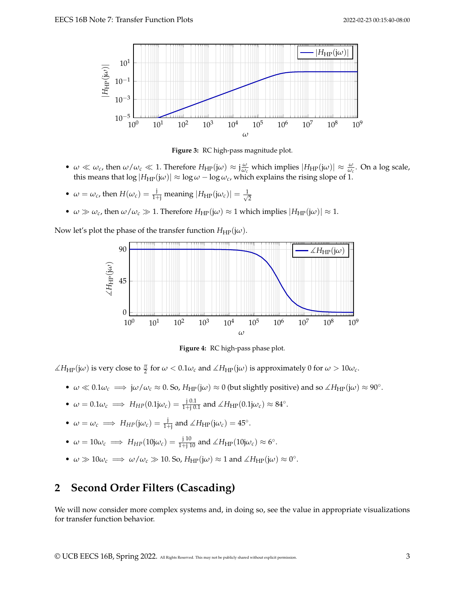<span id="page-2-0"></span>

**Figure 3:** RC high-pass magnitude plot.

- $\omega \ll \omega_c$ , then  $\omega/\omega_c \ll 1$ . Therefore  $H_{HP}(j\omega) \approx j\frac{\omega}{\omega_c}$  which implies  $|H_{HP}(j\omega)| \approx \frac{\omega}{\omega_c}$ . On a log scale, this means that  $\log|H_{\rm HP}(j\omega)| \approx \log \omega - \log \omega_c$ , which explains the rising slope of 1.
- $\omega = \omega_c$ , then  $H(\omega_c) = \frac{1}{1+i}$  meaning  $|H_{HP}(j\omega_c)| = \frac{1}{\sqrt{2}}$ 2
- $\omega \gg \omega_c$ , then  $\omega/\omega_c \gg 1$ . Therefore  $H_{HP}(j\omega) \approx 1$  which implies  $|H_{HP}(j\omega)| \approx 1$ .

Now let's plot the phase of the transfer function  $H_{HP}(j\omega)$ .



**Figure 4:** RC high-pass phase plot.

 $\angle H_{HP}(j\omega)$  is very close to  $\frac{\pi}{2}$  for  $\omega < 0.1\omega_c$  and  $\angle H_{HP}(j\omega)$  is approximately 0 for  $\omega > 10\omega_c$ .

- $\omega \ll 0.1 \omega_c \implies j\omega/\omega_c \approx 0$ . So,  $H_{HP}(j\omega) \approx 0$  (but slightly positive) and so  $\angle H_{HP}(j\omega) \approx 90^\circ$ .
- $\omega = 0.1 \omega_c \implies H_{HP}(0.1j\omega_c) = \frac{j \cdot 0.1}{1+j \cdot 0.1}$  and  $\angle H_{HP}(0.1j\omega_c) \approx 84^\circ$ .

• 
$$
\omega = \omega_c \implies H_{HP}(j\omega_c) = \frac{j}{1+j}
$$
 and  $\angle H_{HP}(j\omega_c) = 45^\circ$ .

- $\omega = 10\omega_c \implies H_{HP}(10j\omega_c) = \frac{j10}{1+j10}$  and  $\angle H_{HP}(10j\omega_c) \approx 6^\circ$ .
- $\omega \gg 10\omega_c \implies \omega/\omega_c \gg 10$ . So,  $H_{HP}(j\omega) \approx 1$  and  $\angle H_{HP}(j\omega) \approx 0^\circ$ .

# **2 Second Order Filters (Cascading)**

We will now consider more complex systems and, in doing so, see the value in appropriate visualizations for transfer function behavior.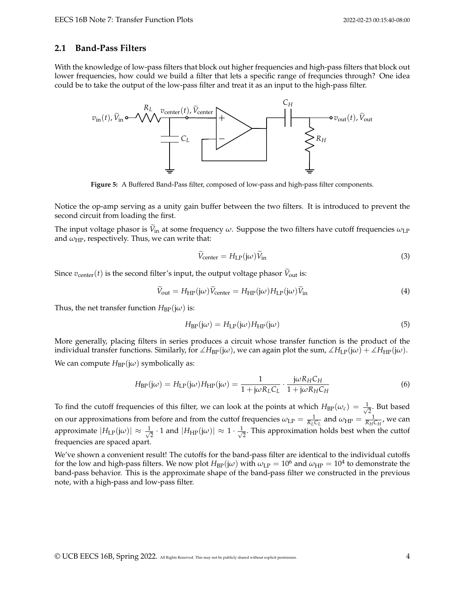#### **2.1 Band-Pass Filters**

With the knowledge of low-pass filters that block out higher frequencies and high-pass filters that block out lower frequencies, how could we build a filter that lets a specific range of frequncies through? One idea could be to take the output of the low-pass filter and treat it as an input to the high-pass filter.



**Figure 5:** A Buffered Band-Pass filter, composed of low-pass and high-pass filter components.

Notice the op-amp serving as a unity gain buffer between the two filters. It is introduced to prevent the second circuit from loading the first.

The input voltage phasor is  $V_{in}$  at some frequency  $\omega$ . Suppose the two filters have cutoff frequencies  $\omega_{\text{LP}}$ and  $\omega_{\mathrm{HP}}$ , respectively. Thus, we can write that:

$$
\widetilde{V}_{\text{center}} = H_{\text{LP}}(j\omega)\widetilde{V}_{\text{in}} \tag{3}
$$

Since  $v_{\text{center}}(t)$  is the second filter's input, the output voltage phasor  $\tilde{V}_{\text{out}}$  is:

$$
\widetilde{V}_{\text{out}} = H_{\text{HP}}(j\omega)\widetilde{V}_{\text{center}} = H_{\text{HP}}(j\omega)H_{\text{LP}}(j\omega)\widetilde{V}_{\text{in}}
$$
\n(4)

Thus, the net transfer function  $H_{BP}(j\omega)$  is:

$$
H_{\rm BP}(j\omega) = H_{\rm LP}(j\omega)H_{\rm HP}(j\omega)
$$
\n(5)

More generally, placing filters in series produces a circuit whose transfer function is the product of the individual transfer functions. Similarly, for  $\angle H_{BP}(j\omega)$ , we can again plot the sum,  $\angle H_{LP}(j\omega) + \angle H_{HP}(j\omega)$ . We can compute  $H_{BP}(j\omega)$  symbolically as:

$$
H_{\rm BP}(j\omega) = H_{\rm LP}(j\omega)H_{\rm HP}(j\omega) = \frac{1}{1 + j\omega R_L C_L} \cdot \frac{j\omega R_H C_H}{1 + j\omega R_H C_H}
$$
(6)

To find the cutoff frequencies of this filter, we can look at the points at which  $H_{BP}(\omega_c) = \frac{1}{\sqrt{2\pi}}$  $\frac{1}{2}$ . But based on our approximations from before and from the cuttof frequencies  $\omega_{LP} = \frac{1}{R_L C_L}$  and  $\omega_{HP} = \frac{1}{R_H C_H}$ , we can approximate  $|H_{\text{LP}}(\mathbf{j}\omega)| \approx \frac{1}{\sqrt{2}}$  $\frac{1}{2} \cdot 1$  and  $|H_{\rm HP}(\mathsf{j}\omega)| \approx 1 \cdot \frac{1}{\sqrt{2}}$  $\frac{1}{2}$ . This approximation holds best when the cuttof frequencies are spaced apart.

We've shown a convenient result! The cutoffs for the band-pass filter are identical to the individual cutoffs for the low and high-pass filters. We now plot  $H_{\rm BP}(j\omega)$  with  $\omega_{\rm LP}=10^6$  and  $\omega_{\rm HP}=10^4$  to demonstrate the band-pass behavior. This is the approximate shape of the band-pass filter we constructed in the previous note, with a high-pass and low-pass filter.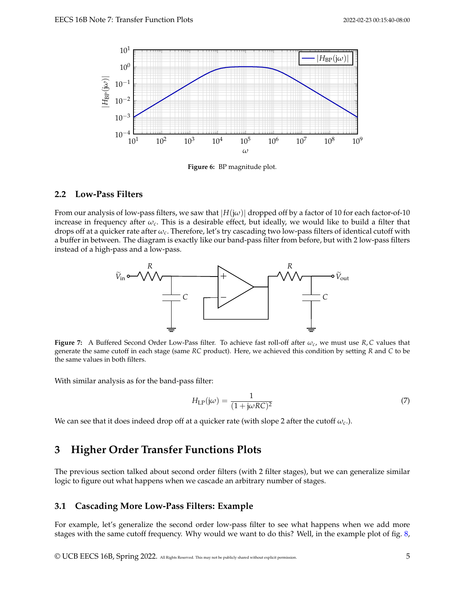

**Figure 6:** BP magnitude plot.

### **2.2 Low-Pass Filters**

From our analysis of low-pass filters, we saw that  $|H(j\omega)|$  dropped off by a factor of 10 for each factor-of-10 increase in frequency after *ωc*. This is a desirable effect, but ideally, we would like to build a filter that drops off at a quicker rate after *ωc*. Therefore, let's try cascading two low-pass filters of identical cutoff with a buffer in between. The diagram is exactly like our band-pass filter from before, but with 2 low-pass filters instead of a high-pass and a low-pass.



**Figure 7:** A Buffered Second Order Low-Pass filter. To achieve fast roll-off after  $\omega_c$ , we must use  $R$ , *C* values that generate the same cutoff in each stage (same *RC* product). Here, we achieved this condition by setting *R* and *C* to be the same values in both filters.

With similar analysis as for the band-pass filter:

$$
H_{\rm LP}(j\omega) = \frac{1}{(1 + j\omega RC)^2} \tag{7}
$$

We can see that it does indeed drop off at a quicker rate (with slope 2 after the cutoff  $\omega_c$ ).

# **3 Higher Order Transfer Functions Plots**

The previous section talked about second order filters (with 2 filter stages), but we can generalize similar logic to figure out what happens when we cascade an arbitrary number of stages.

### **3.1 Cascading More Low-Pass Filters: Example**

For example, let's generalize the second order low-pass filter to see what happens when we add more stages with the same cutoff frequency. Why would we want to do this? Well, in the example plot of fig. [8,](#page-5-0)

© UCB EECS 16B, Spring 2022. All Rights Reserved. This may not be publicly shared without explicit permission. 5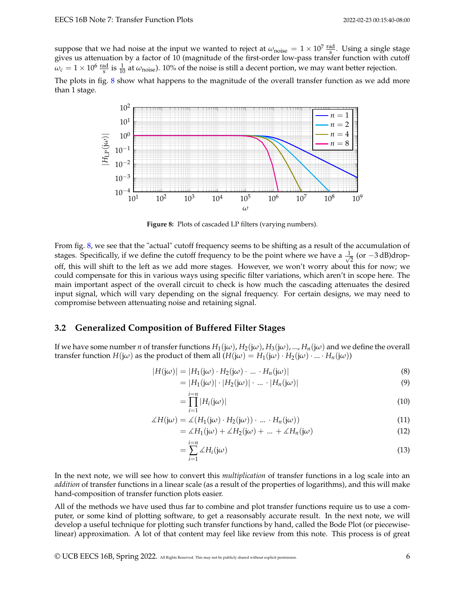suppose that we had noise at the input we wanted to reject at  $\omega_{noise} = 1 \times 10^7 \frac{\text{rad}}{\text{s}}$ . Using a single stage gives us attenuation by a factor of 10 (magnitude of the first-order low-pass transfer function with cutoff  $\omega_c = 1 \times 10^6 \frac{\text{rad}}{\text{s}}$  is  $\frac{1}{10}$  at  $\omega_{\text{noise}}$ ). 10% of the noise is still a decent portion, we may want better rejection. The plots in fig. [8](#page-5-0) show what happens to the magnitude of the overall transfer function as we add more than 1 stage.

<span id="page-5-0"></span>

**Figure 8:** Plots of cascaded LP filters (varying numbers).

From fig. [8,](#page-5-0) we see that the "actual" cutoff frequency seems to be shifting as a result of the accumulation of stages. Specifically, if we define the cutoff frequency to be the point where we have a  $\frac{1}{\sqrt{2}}$  $\frac{1}{2}$  (or −3 dB)dropoff, this will shift to the left as we add more stages. However, we won't worry about this for now; we could compensate for this in various ways using specific filter variations, which aren't in scope here. The main important aspect of the overall circuit to check is how much the cascading attenuates the desired input signal, which will vary depending on the signal frequency. For certain designs, we may need to compromise between attenuating noise and retaining signal.

#### **3.2 Generalized Composition of Buffered Filter Stages**

If we have some number *n* of transfer functions  $H_1(j\omega)$ ,  $H_2(j\omega)$ ,  $H_3(j\omega)$ , ...,  $H_n(j\omega)$  and we define the overall transfer function  $H(i\omega)$  as the product of them all  $(H(i\omega)) = H_1(i\omega) \cdot H_2(i\omega) \cdot ... \cdot H_n(i\omega)$ 

$$
|H(j\omega)| = |H_1(j\omega) \cdot H_2(j\omega) \cdot \dots \cdot H_n(j\omega)| \tag{8}
$$

$$
= |H_1(j\omega)| \cdot |H_2(j\omega)| \cdot ... \cdot |H_n(j\omega)| \tag{9}
$$

$$
=\prod_{i=1}^{i=n}|H_i(j\omega)|\tag{10}
$$

$$
\angle H(j\omega) = \angle (H_1(j\omega) \cdot H_2(j\omega)) \cdot \dots \cdot H_n(j\omega))
$$
\n(11)

$$
= \angle H_1(j\omega) + \angle H_2(j\omega) + \dots + \angle H_n(j\omega) \tag{12}
$$

$$
=\sum_{i=1}^{i=n}\angle H_i(j\omega)\tag{13}
$$

In the next note, we will see how to convert this *multiplication* of transfer functions in a log scale into an *addition* of transfer functions in a linear scale (as a result of the properties of logarithms), and this will make hand-composition of transfer function plots easier.

All of the methods we have used thus far to combine and plot transfer functions require us to use a computer, or some kind of plotting software, to get a reasonsably accurate result. In the next note, we will develop a useful technique for plotting such transfer functions by hand, called the Bode Plot (or piecewiselinear) approximation. A lot of that content may feel like review from this note. This process is of great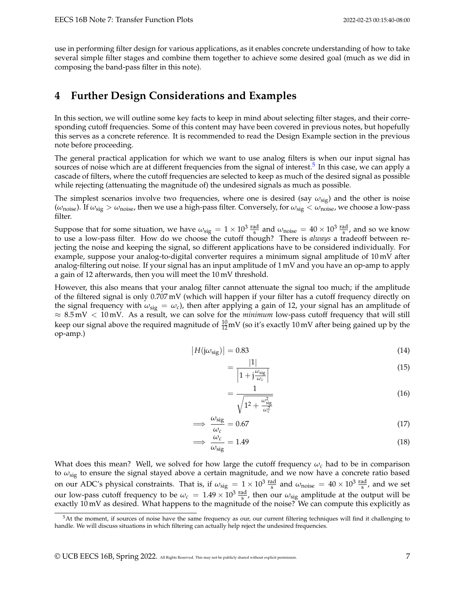use in performing filter design for various applications, as it enables concrete understanding of how to take several simple filter stages and combine them together to achieve some desired goal (much as we did in composing the band-pass filter in this note).

## **4 Further Design Considerations and Examples**

In this section, we will outline some key facts to keep in mind about selecting filter stages, and their corresponding cutoff frequencies. Some of this content may have been covered in previous notes, but hopefully this serves as a concrete reference. It is recommended to read the Design Example section in the previous note before proceeding.

The general practical application for which we want to use analog filters is when our input signal has sources of noise which are at different frequencies from the signal of interest.<sup>[5](#page-6-0)</sup> In this case, we can apply a cascade of filters, where the cutoff frequencies are selected to keep as much of the desired signal as possible while rejecting (attenuating the magnitude of) the undesired signals as much as possible.

The simplest scenarios involve two frequencies, where one is desired (say *ω*sig) and the other is noise (*ω*noise). If *ω*sig > *ω*noise, then we use a high-pass filter. Conversely, for *ω*sig < *ω*noise, we choose a low-pass filter.

Suppose that for some situation, we have  $\omega_{\text{sig}} = 1 \times 10^3 \frac{\text{rad}}{\text{s}}$  and  $\omega_{\text{noise}} = 40 \times 10^3 \frac{\text{rad}}{\text{s}}$ , and so we know to use a low-pass filter. How do we choose the cutoff though? There is *always* a tradeoff between rejecting the noise and keeping the signal, so different applications have to be considered individually. For example, suppose your analog-to-digital converter requires a minimum signal amplitude of 10 mV after analog-filtering out noise. If your signal has an input amplitude of 1 mV and you have an op-amp to apply a gain of 12 afterwards, then you will meet the 10 mV threshold.

However, this also means that your analog filter cannot attenuate the signal too much; if the amplitude of the filtered signal is only 0.707 mV (which will happen if your filter has a cutoff frequency directly on the signal frequency with  $\omega_{\rm sig} = \omega_c$ , then after applying a gain of 12, your signal has an amplitude of ≈ 8.5 mV < 10 mV. As a result, we can solve for the *minimum* low-pass cutoff frequency that will still keep our signal above the required magnitude of  $\frac{10}{12}$ mV (so it's exactly 10 mV after being gained up by the op-amp.)

$$
|H(j\omega_{\text{sig}})| = 0.83\tag{14}
$$

$$
=\frac{|1|}{\left|1+\mathbf{j}\frac{\omega_{\rm sig}}{\omega_c}\right|}\tag{15}
$$

$$
=\frac{1}{\sqrt{1^2 + \frac{\omega_{\text{sig}}^2}{\omega_c^2}}}
$$
(16)

$$
\implies \frac{\omega_{\text{sig}}}{\omega_c} = 0.67\tag{17}
$$

$$
\implies \frac{\omega_c}{\omega_{\text{sig}}} = 1.49\tag{18}
$$

What does this mean? Well, we solved for how large the cutoff frequency  $\omega_c$  had to be in comparison to *ω*sig to ensure the signal stayed above a certain magnitude, and we now have a concrete ratio based on our ADC's physical constraints. That is, if  $\omega_{\text{sig}} = 1 \times 10^3 \frac{\text{rad}}{\text{s}}$  and  $\omega_{\text{noise}} = 40 \times 10^3 \frac{\text{rad}}{\text{s}}$ , and we set our low-pass cutoff frequency to be  $\omega_c = 1.49 \times 10^3 \frac{\text{rad}}{\text{s}}$ , then our  $\omega_{\text{sig}}$  amplitude at the output will be exactly 10 mV as desired. What happens to the magnitude of the noise? We can compute this explicitly as

<span id="page-6-0"></span><sup>&</sup>lt;sup>5</sup>At the moment, if sources of noise have the same frequency as our, our current filtering techniques will find it challenging to handle. We will discuss situations in which filtering can actually help reject the undesired frequencies.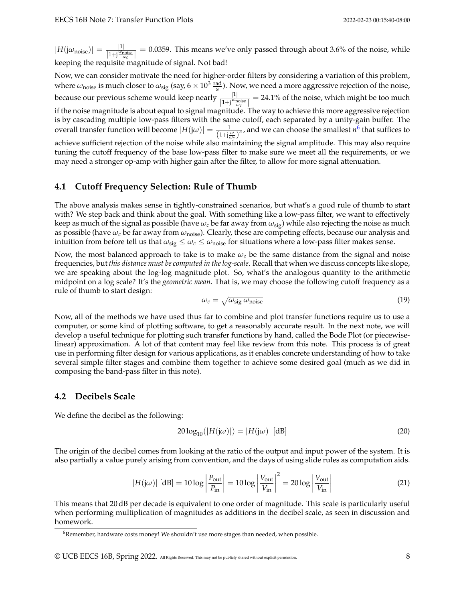$|H(j\omega_{\text{noise}})| = \frac{|1|}{1+i\frac{\omega_{\text{m}}}{n}}$  $\frac{|1|}{|1+i\frac{\omega_{noise}}{\omega_c}|} = 0.0359$ . This means we've only passed through about 3.6% of the noise, while keeping the requisite magnitude of signal. Not bad!

Now, we can consider motivate the need for higher-order filters by considering a variation of this problem, where  $\omega_{\rm noise}$  is much closer to  $\omega_{\rm sig}$  (say, 6  $\times$   $10^3$   $\rm \frac{rad}{s}$ ). Now, we need a more aggressive rejection of the noise, because our previous scheme would keep nearly  $\frac{|1|}{|1+i\frac{\omega_{noise}}{\omega_c}|} = 24.1\%$  of the noise, which might be too much if the noise magnitude is about equal to signal magnitude. The way to achieve this more aggressive rejection is by cascading multiple low-pass filters with the same cutoff, each separated by a unity-gain buffer. The overall transfer function will become  $|H(j\omega)| = \frac{1}{(1+j\frac{\omega}{\omega_c})^n}$ , and we can choose the smallest  $n^6$  $n^6$  that suffices to achieve sufficient rejection of the noise while also maintaining the signal amplitude. This may also require tuning the cutoff frequency of the base low-pass filter to make sure we meet all the requirements, or we may need a stronger op-amp with higher gain after the filter, to allow for more signal attenuation.

## **4.1 Cutoff Frequency Selection: Rule of Thumb**

The above analysis makes sense in tightly-constrained scenarios, but what's a good rule of thumb to start with? We step back and think about the goal. With something like a low-pass filter, we want to effectively keep as much of the signal as possible (have *ω<sup>c</sup>* be far away from *ω*sig) while also rejecting the noise as much as possible (have  $\omega_c$  be far away from  $\omega_{noise}$ ). Clearly, these are competing effects, because our analysis and intuition from before tell us that  $\omega_{\text{sig}} \leq \omega_c \leq \omega_{\text{noise}}$  for situations where a low-pass filter makes sense.

Now, the most balanced approach to take is to make  $\omega_c$  be the same distance from the signal and noise frequencies, but *this distance must be computed in the log-scale*. Recall that when we discuss concepts like slope, we are speaking about the log-log magnitude plot. So, what's the analogous quantity to the arithmetic midpoint on a log scale? It's the *geometric mean*. That is, we may choose the following cutoff frequency as a rule of thumb to start design:

$$
\omega_c = \sqrt{\omega_{\text{sig}}\,\omega_{\text{noise}}}
$$
\n(19)

Now, all of the methods we have used thus far to combine and plot transfer functions require us to use a computer, or some kind of plotting software, to get a reasonably accurate result. In the next note, we will develop a useful technique for plotting such transfer functions by hand, called the Bode Plot (or piecewiselinear) approximation. A lot of that content may feel like review from this note. This process is of great use in performing filter design for various applications, as it enables concrete understanding of how to take several simple filter stages and combine them together to achieve some desired goal (much as we did in composing the band-pass filter in this note).

### **4.2 Decibels Scale**

We define the decibel as the following:

$$
20\log_{10}(|H(j\omega)|) = |H(j\omega)| \text{ [dB]}
$$
 (20)

The origin of the decibel comes from looking at the ratio of the output and input power of the system. It is also partially a value purely arising from convention, and the days of using slide rules as computation aids.

$$
|H(j\omega)| \left[ \text{dB} \right] = 10 \log \left| \frac{P_{\text{out}}}{P_{\text{in}}} \right| = 10 \log \left| \frac{V_{\text{out}}}{V_{\text{in}}} \right|^2 = 20 \log \left| \frac{V_{\text{out}}}{V_{\text{in}}} \right| \tag{21}
$$

This means that 20 dB per decade is equivalent to one order of magnitude. This scale is particularly useful when performing multiplication of magnitudes as additions in the decibel scale, as seen in discussion and homework.

<span id="page-7-0"></span><sup>&</sup>lt;sup>6</sup>Remember, hardware costs money! We shouldn't use more stages than needed, when possible.